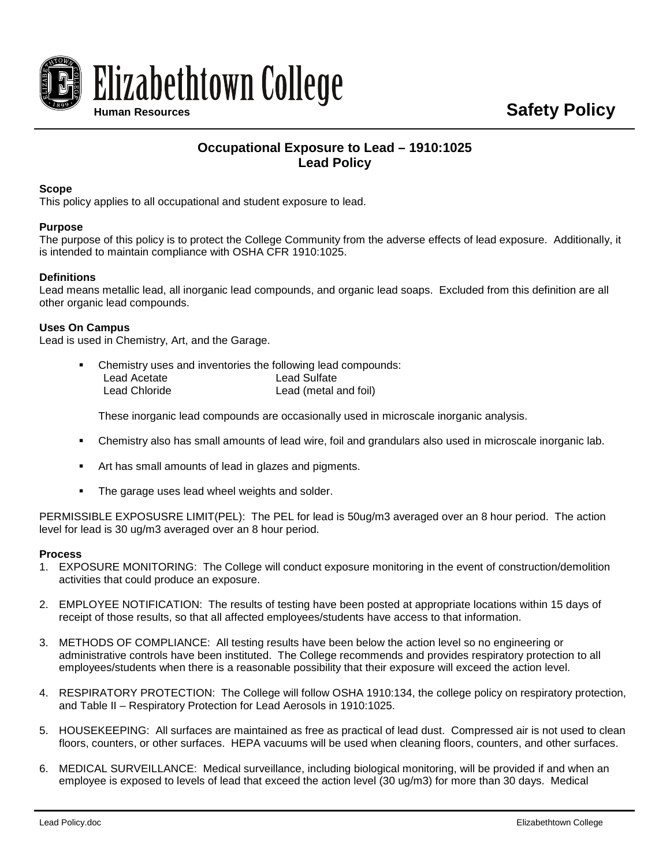

# **Occupational Exposure to Lead – 1910:1025 Lead Policy**

## **Scope**

This policy applies to all occupational and student exposure to lead.

## **Purpose**

The purpose of this policy is to protect the College Community from the adverse effects of lead exposure. Additionally, it is intended to maintain compliance with OSHA CFR 1910:1025.

## **Definitions**

Lead means metallic lead, all inorganic lead compounds, and organic lead soaps. Excluded from this definition are all other organic lead compounds.

#### **Uses On Campus**

Lead is used in Chemistry, Art, and the Garage.

 Chemistry uses and inventories the following lead compounds: Lead Acetate Lead Chloride Lead Sulfate Lead (metal and foil)

These inorganic lead compounds are occasionally used in microscale inorganic analysis.

- Chemistry also has small amounts of lead wire, foil and grandulars also used in microscale inorganic lab.
- Art has small amounts of lead in glazes and pigments.
- The garage uses lead wheel weights and solder.

PERMISSIBLE EXPOSUSRE LIMIT(PEL): The PEL for lead is 50ug/m3 averaged over an 8 hour period. The action level for lead is 30 ug/m3 averaged over an 8 hour period.

#### **Process**

- 1. EXPOSURE MONITORING: The College will conduct exposure monitoring in the event of construction/demolition activities that could produce an exposure.
- 2. EMPLOYEE NOTIFICATION: The results of testing have been posted at appropriate locations within 15 days of receipt of those results, so that all affected employees/students have access to that information.
- 3. METHODS OF COMPLIANCE: All testing results have been below the action level so no engineering or administrative controls have been instituted. The College recommends and provides respiratory protection to all employees/students when there is a reasonable possibility that their exposure will exceed the action level.
- 4. RESPIRATORY PROTECTION: The College will follow OSHA 1910:134, the college policy on respiratory protection, and Table II – Respiratory Protection for Lead Aerosols in 1910:1025.
- 5. HOUSEKEEPING: All surfaces are maintained as free as practical of lead dust. Compressed air is not used to clean floors, counters, or other surfaces. HEPA vacuums will be used when cleaning floors, counters, and other surfaces.
- 6. MEDICAL SURVEILLANCE: Medical surveillance, including biological monitoring, will be provided if and when an employee is exposed to levels of lead that exceed the action level (30 ug/m3) for more than 30 days. Medical